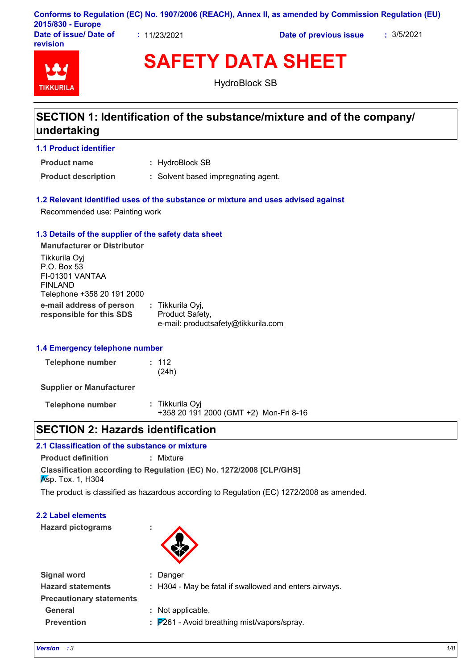| 2015/830 - Europe                         |              | Conforms to Regulation (EC) No. 1907/2006 (REACH), Annex II, as amended by Commission Regulation (EU) |            |
|-------------------------------------------|--------------|-------------------------------------------------------------------------------------------------------|------------|
| Date of issue/ Date of<br><b>revision</b> | : 11/23/2021 | Date of previous issue                                                                                | : 3/5/2021 |

# **TIKKURIL**

**SAFETY DATA SHEET**

HydroBlock SB

# **SECTION 1: Identification of the substance/mixture and of the company/ undertaking**

## **1.1 Product identifier**

**Product name**

: HydroBlock SB

**Product description :** Solvent based impregnating agent.

## **1.2 Relevant identified uses of the substance or mixture and uses advised against**

Recommended use: Painting work

## **1.3 Details of the supplier of the safety data sheet**

**e-mail address of person responsible for this SDS :** Tikkurila Oyj, Product Safety, e-mail: productsafety@tikkurila.com **Manufacturer or Distributor** Tikkurila Oyj P.O. Box 53 FI-01301 VANTAA FINLAND Telephone +358 20 191 2000

# **1.4 Emergency telephone number**

| <b>Telephone number</b> | : 112 |
|-------------------------|-------|
|                         | (24h) |

**Supplier or Manufacturer**

| Telephone number | : Tikkurila Oyi                        |  |
|------------------|----------------------------------------|--|
|                  | +358 20 191 2000 (GMT +2) Mon-Fri 8-16 |  |

# **SECTION 2: Hazards identification**

# **2.1 Classification of the substance or mixture**

**Product definition :** Mixture

**Classification according to Regulation (EC) No. 1272/2008 [CLP/GHS] Asp. Tox. 1, H304** 

The product is classified as hazardous according to Regulation (EC) 1272/2008 as amended.

# **2.2 Label elements**

**Hazard pictograms :**



| Signal word                     | : Danger                                                          |
|---------------------------------|-------------------------------------------------------------------|
| <b>Hazard statements</b>        | : H304 - May be fatal if swallowed and enters airways.            |
| <b>Precautionary statements</b> |                                                                   |
| <b>General</b>                  | : Not applicable.                                                 |
| <b>Prevention</b>               | $\therefore$ $\mathsf{P}261$ - Avoid breathing mist/vapors/spray. |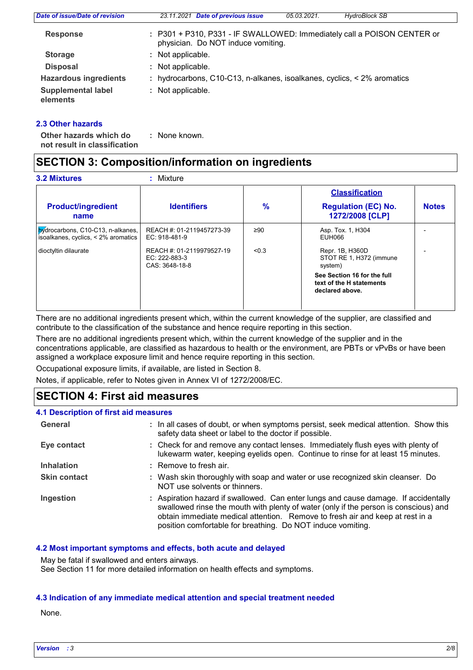| Date of issue/Date of revision        | 23.11.2021 Date of previous issue<br><b>HydroBlock SB</b><br>05.03.2021.                                      |
|---------------------------------------|---------------------------------------------------------------------------------------------------------------|
| <b>Response</b>                       | : P301 + P310, P331 - IF SWALLOWED: Immediately call a POISON CENTER or<br>physician. Do NOT induce vomiting. |
| <b>Storage</b>                        | : Not applicable.                                                                                             |
| <b>Disposal</b>                       | : Not applicable.                                                                                             |
| <b>Hazardous ingredients</b>          | : hydrocarbons, C10-C13, n-alkanes, isoalkanes, cyclics, < 2% aromatics                                       |
| <b>Supplemental label</b><br>elements | : Not applicable.                                                                                             |

## **2.3 Other hazards**

**Other hazards which do : not result in classification** : None known.

# **SECTION 3: Composition/information on ingredients**

|                                                                                        |                                                              |        | <b>Classification</b>                                                      |              |
|----------------------------------------------------------------------------------------|--------------------------------------------------------------|--------|----------------------------------------------------------------------------|--------------|
| <b>Product/ingredient</b><br>name                                                      | <b>Identifiers</b>                                           | $\%$   | <b>Regulation (EC) No.</b><br>1272/2008 [CLP]                              | <b>Notes</b> |
| $\frac{by}{dy}$ drocarbons, C10-C13, n-alkanes,<br>isoalkanes, cyclics, < 2% aromatics | REACH #: 01-2119457273-39<br>EC: 918-481-9                   | ≥ $90$ | Asp. Tox. 1, H304<br>EUH066                                                |              |
| dioctyltin dilaurate                                                                   | REACH #: 01-2119979527-19<br>EC: 222-883-3<br>CAS: 3648-18-8 | < 0.3  | Repr. 1B, H360D<br>STOT RE 1, H372 (immune<br>system)                      |              |
|                                                                                        |                                                              |        | See Section 16 for the full<br>text of the H statements<br>declared above. |              |

There are no additional ingredients present which, within the current knowledge of the supplier, are classified and contribute to the classification of the substance and hence require reporting in this section.

There are no additional ingredients present which, within the current knowledge of the supplier and in the concentrations applicable, are classified as hazardous to health or the environment, are PBTs or vPvBs or have been assigned a workplace exposure limit and hence require reporting in this section.

Occupational exposure limits, if available, are listed in Section 8.

Notes, if applicable, refer to Notes given in Annex VI of 1272/2008/EC.

# **SECTION 4: First aid measures**

## **4.1 Description of first aid measures**

| General             | : In all cases of doubt, or when symptoms persist, seek medical attention. Show this<br>safety data sheet or label to the doctor if possible.                                                                                                                                                                               |
|---------------------|-----------------------------------------------------------------------------------------------------------------------------------------------------------------------------------------------------------------------------------------------------------------------------------------------------------------------------|
| Eye contact         | : Check for and remove any contact lenses. Immediately flush eyes with plenty of<br>lukewarm water, keeping eyelids open. Continue to rinse for at least 15 minutes.                                                                                                                                                        |
| <b>Inhalation</b>   | : Remove to fresh air.                                                                                                                                                                                                                                                                                                      |
| <b>Skin contact</b> | : Wash skin thoroughly with soap and water or use recognized skin cleanser. Do<br>NOT use solvents or thinners.                                                                                                                                                                                                             |
| Ingestion           | : Aspiration hazard if swallowed. Can enter lungs and cause damage. If accidentally<br>swallowed rinse the mouth with plenty of water (only if the person is conscious) and<br>obtain immediate medical attention. Remove to fresh air and keep at rest in a<br>position comfortable for breathing. Do NOT induce vomiting. |

## **4.2 Most important symptoms and effects, both acute and delayed**

May be fatal if swallowed and enters airways.

See Section 11 for more detailed information on health effects and symptoms.

## **4.3 Indication of any immediate medical attention and special treatment needed**

None.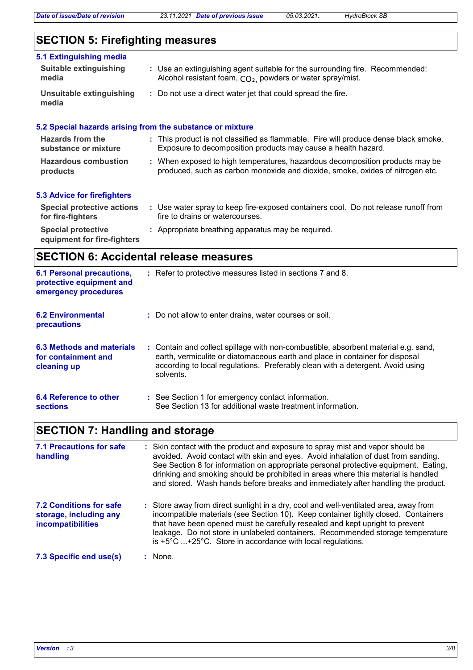# **SECTION 5: Firefighting measures**

| 5.1 Extinguishing media<br>Suitable extinguishing<br>media | : Use an extinguishing agent suitable for the surrounding fire. Recommended:<br>Alcohol resistant foam, CO <sub>2</sub> , powders or water spray/mist.        |
|------------------------------------------------------------|---------------------------------------------------------------------------------------------------------------------------------------------------------------|
| Unsuitable extinguishing<br>media                          | : Do not use a direct water jet that could spread the fire.                                                                                                   |
|                                                            | 5.2 Special hazards arising from the substance or mixture                                                                                                     |
| <b>Hazards from the</b><br>substance or mixture            | : This product is not classified as flammable. Fire will produce dense black smoke.<br>Exposure to decomposition products may cause a health hazard.          |
| <b>Hazardous combustion</b><br>products                    | : When exposed to high temperatures, hazardous decomposition products may be<br>produced, such as carbon monoxide and dioxide, smoke, oxides of nitrogen etc. |
| 5.3 Advice for firefighters                                |                                                                                                                                                               |
| <b>Special protective actions</b><br>for fire-fighters     | : Use water spray to keep fire-exposed containers cool. Do not release runoff from<br>fire to drains or watercourses.                                         |

## **Special protective : Appropriate breathing apparatus may be required. equipment for fire-fighters**

**SECTION 6: Accidental release measures**

| <b>6.1 Personal precautions,</b><br>protective equipment and<br>emergency procedures | : Refer to protective measures listed in sections 7 and 8.                                                                                                                                                                                                        |
|--------------------------------------------------------------------------------------|-------------------------------------------------------------------------------------------------------------------------------------------------------------------------------------------------------------------------------------------------------------------|
| <b>6.2 Environmental</b><br>precautions                                              | : Do not allow to enter drains, water courses or soil.                                                                                                                                                                                                            |
| 6.3 Methods and materials<br>for containment and<br>cleaning up                      | : Contain and collect spillage with non-combustible, absorbent material e.g. sand,<br>earth, vermiculite or diatomaceous earth and place in container for disposal<br>according to local regulations. Preferably clean with a detergent. Avoid using<br>solvents. |
| 6.4 Reference to other<br><b>sections</b>                                            | : See Section 1 for emergency contact information.<br>See Section 13 for additional waste treatment information.                                                                                                                                                  |

# **SECTION 7: Handling and storage**

| <b>7.1 Precautions for safe</b><br>handling                                          | : Skin contact with the product and exposure to spray mist and vapor should be<br>avoided. Avoid contact with skin and eyes. Avoid inhalation of dust from sanding.<br>See Section 8 for information on appropriate personal protective equipment. Eating,<br>drinking and smoking should be prohibited in areas where this material is handled<br>and stored. Wash hands before breaks and immediately after handling the product. |
|--------------------------------------------------------------------------------------|-------------------------------------------------------------------------------------------------------------------------------------------------------------------------------------------------------------------------------------------------------------------------------------------------------------------------------------------------------------------------------------------------------------------------------------|
| <b>7.2 Conditions for safe</b><br>storage, including any<br><b>incompatibilities</b> | : Store away from direct sunlight in a dry, cool and well-ventilated area, away from<br>incompatible materials (see Section 10). Keep container tightly closed. Containers<br>that have been opened must be carefully resealed and kept upright to prevent<br>leakage. Do not store in unlabeled containers. Recommended storage temperature<br>is $+5^{\circ}$ C  +25°C. Store in accordance with local regulations.               |
| 7.3 Specific end use(s)                                                              | : None.                                                                                                                                                                                                                                                                                                                                                                                                                             |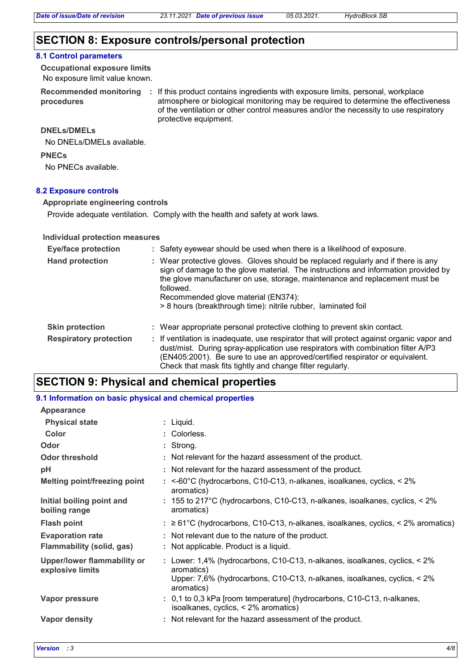# **SECTION 8: Exposure controls/personal protection**

#### **8.1 Control parameters**

No exposure limit value known. **Occupational exposure limits**

**Recommended monitoring procedures**

: If this product contains ingredients with exposure limits, personal, workplace atmosphere or biological monitoring may be required to determine the effectiveness of the ventilation or other control measures and/or the necessity to use respiratory protective equipment.

#### **DNELs/DMELs**

No DNELs/DMELs available.

**PNECs**

No PNECs available.

#### **8.2 Exposure controls**

**Appropriate engineering controls**

Provide adequate ventilation. Comply with the health and safety at work laws.

#### **Individual protection measures**

| <b>Eye/face protection</b>    | : Safety eyewear should be used when there is a likelihood of exposure.                                                                                                                                                                                                                                                                                                     |
|-------------------------------|-----------------------------------------------------------------------------------------------------------------------------------------------------------------------------------------------------------------------------------------------------------------------------------------------------------------------------------------------------------------------------|
| <b>Hand protection</b>        | : Wear protective gloves. Gloves should be replaced regularly and if there is any<br>sign of damage to the glove material. The instructions and information provided by<br>the glove manufacturer on use, storage, maintenance and replacement must be<br>followed.<br>Recommended glove material (EN374):<br>> 8 hours (breakthrough time): nitrile rubber, laminated foil |
| <b>Skin protection</b>        | : Wear appropriate personal protective clothing to prevent skin contact.                                                                                                                                                                                                                                                                                                    |
| <b>Respiratory protection</b> | : If ventilation is inadequate, use respirator that will protect against organic vapor and<br>dust/mist. During spray-application use respirators with combination filter A/P3<br>(EN405:2001). Be sure to use an approved/certified respirator or equivalent.<br>Check that mask fits tightly and change filter regularly.                                                 |

# **SECTION 9: Physical and chemical properties**

#### **Physical state Melting point/freezing point Initial boiling point and boiling range Vapor pressure Vapor density** Liquid. **: Odor** Strong. **pH Color** Colorless. **: Evaporation rate Flash point** ≥ 61°C (hydrocarbons, C10-C13, n-alkanes, isoalkanes, cyclics, < 2% aromatics) **:** Not relevant for the hazard assessment of the product. **: Odor threshold Not relevant for the hazard assessment of the product. Upper/lower flammability or explosive limits :** <-60°C (hydrocarbons, C10-C13, n-alkanes, isoalkanes, cyclics, < 2% **:** 155 to 217°C (hydrocarbons, C10-C13, n-alkanes, isoalkanes, cyclics, < 2% **:** 0,1 to 0,3 kPa [room temperature] (hydrocarbons, C10-C13, n-alkanes, **:** Not relevant for the hazard assessment of the product. **:** Not relevant due to the nature of the product. **:** Lower: 1,4% (hydrocarbons, C10-C13, n-alkanes, isoalkanes, cyclics, < 2% **9.1 Information on basic physical and chemical properties Appearance Flammability (solid, gas) :** Not applicable. Product is a liquid. aromatics) isoalkanes, cyclics, < 2% aromatics) aromatics) Upper: 7,6% (hydrocarbons, C10-C13, n-alkanes, isoalkanes, cyclics, < 2% aromatics) aromatics)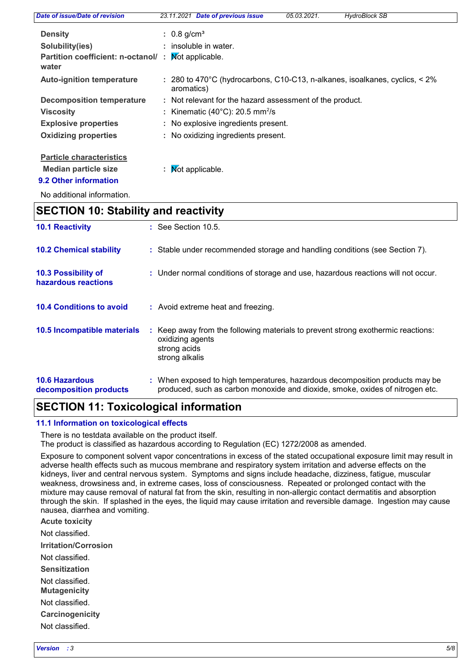| Date of issue/Date of revision              | 23.11.2021 Date of previous issue                                                         | 05.03.2021. | <b>HydroBlock SB</b> |
|---------------------------------------------|-------------------------------------------------------------------------------------------|-------------|----------------------|
| <b>Density</b>                              | : $0.8 \text{ g/cm}^3$                                                                    |             |                      |
| Solubility(ies)                             | $:$ insoluble in water.                                                                   |             |                      |
| Partition coefficient: n-octanol/:<br>water | Not applicable.                                                                           |             |                      |
| <b>Auto-ignition temperature</b>            | : 280 to 470°C (hydrocarbons, C10-C13, n-alkanes, isoalkanes, cyclics, < 2%<br>aromatics) |             |                      |
| <b>Decomposition temperature</b>            | : Not relevant for the hazard assessment of the product.                                  |             |                      |
| <b>Viscosity</b>                            | : Kinematic (40 $^{\circ}$ C): 20.5 mm <sup>2</sup> /s                                    |             |                      |
| <b>Explosive properties</b>                 | : No explosive ingredients present.                                                       |             |                      |
| <b>Oxidizing properties</b>                 | : No oxidizing ingredients present.                                                       |             |                      |
| <b>Particle characteristics</b>             |                                                                                           |             |                      |
| <b>Median particle size</b>                 | : $\mathsf{M}\text{ot}$ applicable.                                                       |             |                      |
| 9.2 Other information                       |                                                                                           |             |                      |

No additional information.

# **SECTION 10: Stability and reactivity**

| <b>10.1 Reactivity</b>                          | $\therefore$ See Section 10.5.                                                                                                                                |  |
|-------------------------------------------------|---------------------------------------------------------------------------------------------------------------------------------------------------------------|--|
| <b>10.2 Chemical stability</b>                  | : Stable under recommended storage and handling conditions (see Section 7).                                                                                   |  |
| 10.3 Possibility of<br>hazardous reactions      | : Under normal conditions of storage and use, hazardous reactions will not occur.                                                                             |  |
| <b>10.4 Conditions to avoid</b>                 | : Avoid extreme heat and freezing.                                                                                                                            |  |
| 10.5 Incompatible materials                     | : Keep away from the following materials to prevent strong exothermic reactions:<br>oxidizing agents<br>strong acids<br>strong alkalis                        |  |
| <b>10.6 Hazardous</b><br>decomposition products | : When exposed to high temperatures, hazardous decomposition products may be<br>produced, such as carbon monoxide and dioxide, smoke, oxides of nitrogen etc. |  |

# **SECTION 11: Toxicological information**

## **11.1 Information on toxicological effects**

There is no testdata available on the product itself.

The product is classified as hazardous according to Regulation (EC) 1272/2008 as amended.

Exposure to component solvent vapor concentrations in excess of the stated occupational exposure limit may result in adverse health effects such as mucous membrane and respiratory system irritation and adverse effects on the kidneys, liver and central nervous system. Symptoms and signs include headache, dizziness, fatigue, muscular weakness, drowsiness and, in extreme cases, loss of consciousness. Repeated or prolonged contact with the mixture may cause removal of natural fat from the skin, resulting in non-allergic contact dermatitis and absorption through the skin. If splashed in the eyes, the liquid may cause irritation and reversible damage. Ingestion may cause nausea, diarrhea and vomiting.

**Acute toxicity**

Not classified.

**Irritation/Corrosion**

Not classified.

**Sensitization**

Not classified.

**Mutagenicity**

Not classified.

**Carcinogenicity**

Not classified.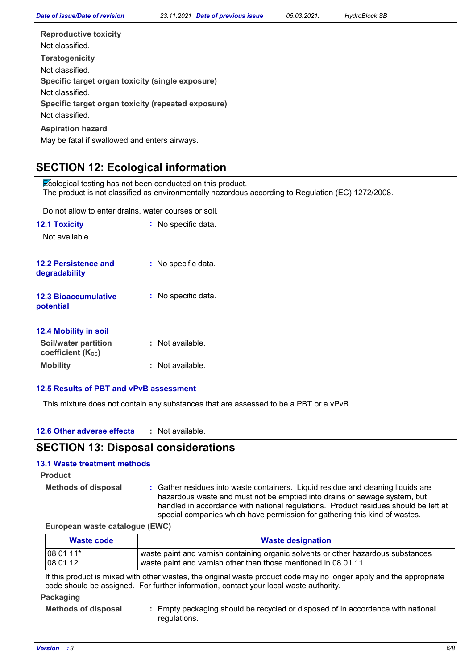| <b>Reproductive toxicity</b>                       |
|----------------------------------------------------|
| Not classified                                     |
| <b>Teratogenicity</b>                              |
| Not classified.                                    |
| Specific target organ toxicity (single exposure)   |
| Not classified                                     |
| Specific target organ toxicity (repeated exposure) |
| Not classified.                                    |
| <b>Aspiration hazard</b>                           |

May be fatal if swallowed and enters airways.

# **SECTION 12: Ecological information**

Ecological testing has not been conducted on this product. The product is not classified as environmentally hazardous according to Regulation (EC) 1272/2008.

Do not allow to enter drains, water courses or soil.

| <b>12.1 Toxicity</b><br>Not available.           | $:$ No specific data.   |
|--------------------------------------------------|-------------------------|
| <b>12.2 Persistence and</b><br>degradability     | : No specific data.     |
| <b>12.3 Bioaccumulative</b><br>potential         | No specific data.<br>t. |
| 12.4 Mobility in soil                            |                         |
| Soil/water partition<br><b>coefficient (Koc)</b> | :   Not available.      |
| <b>Mobility</b>                                  | :   Not available.      |

## **12.5 Results of PBT and vPvB assessment**

This mixture does not contain any substances that are assessed to be a PBT or a vPvB.

| 12.6 Other adverse effects |  | Not available. |
|----------------------------|--|----------------|
|----------------------------|--|----------------|

# **SECTION 13: Disposal considerations**

# **13.1 Waste treatment methods**

## **Product**

**Methods of disposal :**

Gather residues into waste containers. Liquid residue and cleaning liquids are hazardous waste and must not be emptied into drains or sewage system, but handled in accordance with national regulations. Product residues should be left at special companies which have permission for gathering this kind of wastes.

#### **European waste catalogue (EWC)**

| Waste code | <b>Waste designation</b>                                                          |  |  |
|------------|-----------------------------------------------------------------------------------|--|--|
| 08 01 11*  | waste paint and varnish containing organic solvents or other hazardous substances |  |  |
| 08 01 12   | waste paint and varnish other than those mentioned in 08 01 11                    |  |  |

If this product is mixed with other wastes, the original waste product code may no longer apply and the appropriate code should be assigned. For further information, contact your local waste authority.

## **Packaging**

**Methods of disposal :**

Empty packaging should be recycled or disposed of in accordance with national regulations.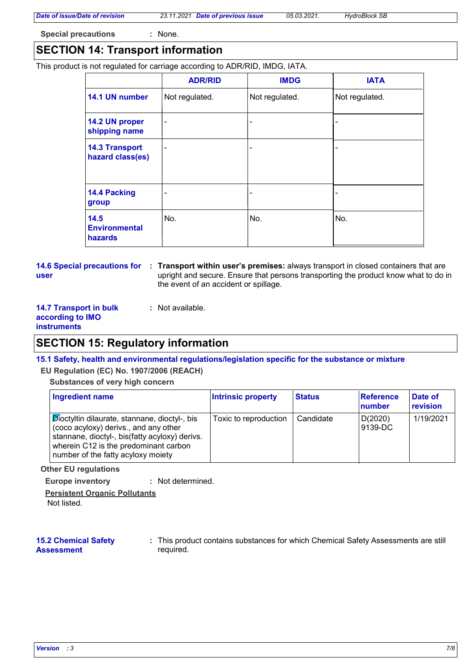# **Special precautions :** None.

# **SECTION 14: Transport information**

This product is not regulated for carriage according to ADR/RID, IMDG, IATA.

|                                           | <b>ADR/RID</b> | <b>IMDG</b>    | <b>IATA</b>    |
|-------------------------------------------|----------------|----------------|----------------|
| 14.1 UN number                            | Not regulated. | Not regulated. | Not regulated. |
| 14.2 UN proper<br>shipping name           | Ē.             | ۰              |                |
| <b>14.3 Transport</b><br>hazard class(es) | ÷              | ٠              |                |
| 14.4 Packing<br>group                     |                | ۰              |                |
| 14.5<br><b>Environmental</b><br>hazards   | No.            | No.            | No.            |

**user**

**14.6 Special precautions for Transport within user's premises:** always transport in closed containers that are **:** upright and secure. Ensure that persons transporting the product know what to do in the event of an accident or spillage.

| <b>14.7 Transport in bulk</b> | : Not available. |
|-------------------------------|------------------|
| according to IMO              |                  |
| <b>instruments</b>            |                  |

# **SECTION 15: Regulatory information**

## **15.1 Safety, health and environmental regulations/legislation specific for the substance or mixture**

#### **EU Regulation (EC) No. 1907/2006 (REACH)**

#### **Substances of very high concern**

| <b>Ingredient name</b>                                                                                                                                                                                                           | <b>Intrinsic property</b> | <b>Status</b> | <b>Reference</b><br>number | Date of<br>revision |
|----------------------------------------------------------------------------------------------------------------------------------------------------------------------------------------------------------------------------------|---------------------------|---------------|----------------------------|---------------------|
| ⊦ <b>Dioctyltin dilaurate, stannane, dioctyl-, bis</b><br>(coco acyloxy) derivs., and any other<br>stannane, dioctyl-, bis(fatty acyloxy) derivs.<br>wherein C12 is the predominant carbon<br>number of the fatty acyloxy moiety | Toxic to reproduction     | Candidate     | D(2020)<br>9139-DC         | 1/19/2021           |

#### **Other EU regulations**

**Europe inventory :** Not determined.

**Persistent Organic Pollutants**

Not listed.

## **15.2 Chemical Safety Assessment**

This product contains substances for which Chemical Safety Assessments are still **:** required.